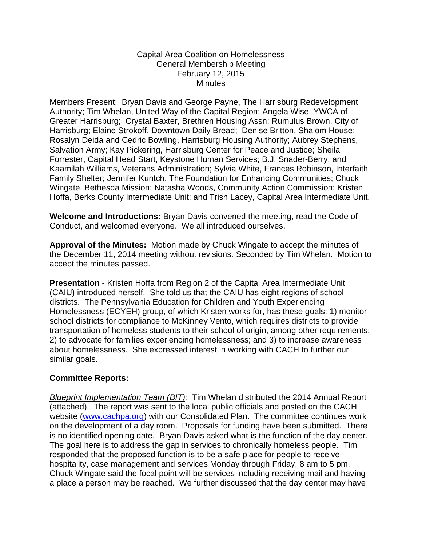## Capital Area Coalition on Homelessness General Membership Meeting February 12, 2015 **Minutes**

Members Present: Bryan Davis and George Payne, The Harrisburg Redevelopment Authority; Tim Whelan, United Way of the Capital Region; Angela Wise, YWCA of Greater Harrisburg; Crystal Baxter, Brethren Housing Assn; Rumulus Brown, City of Harrisburg; Elaine Strokoff, Downtown Daily Bread; Denise Britton, Shalom House; Rosalyn Deida and Cedric Bowling, Harrisburg Housing Authority; Aubrey Stephens, Salvation Army; Kay Pickering, Harrisburg Center for Peace and Justice; Sheila Forrester, Capital Head Start, Keystone Human Services; B.J. Snader-Berry, and Kaamilah Williams, Veterans Administration; Sylvia White, Frances Robinson, Interfaith Family Shelter; Jennifer Kuntch, The Foundation for Enhancing Communities; Chuck Wingate, Bethesda Mission; Natasha Woods, Community Action Commission; Kristen Hoffa, Berks County Intermediate Unit; and Trish Lacey, Capital Area Intermediate Unit.

**Welcome and Introductions:** Bryan Davis convened the meeting, read the Code of Conduct, and welcomed everyone. We all introduced ourselves.

**Approval of the Minutes:** Motion made by Chuck Wingate to accept the minutes of the December 11, 2014 meeting without revisions. Seconded by Tim Whelan. Motion to accept the minutes passed.

**Presentation** - Kristen Hoffa from Region 2 of the Capital Area Intermediate Unit (CAIU) introduced herself. She told us that the CAIU has eight regions of school districts. The Pennsylvania Education for Children and Youth Experiencing Homelessness (ECYEH) group, of which Kristen works for, has these goals: 1) monitor school districts for compliance to McKinney Vento, which requires districts to provide transportation of homeless students to their school of origin, among other requirements; 2) to advocate for families experiencing homelessness; and 3) to increase awareness about homelessness. She expressed interest in working with CACH to further our similar goals.

## **Committee Reports:**

*Blueprint Implementation Team (BIT):* Tim Whelan distributed the 2014 Annual Report (attached). The report was sent to the local public officials and posted on the CACH website [\(www.cachpa.org\)](http://www.cachpa.org/) with our Consolidated Plan. The committee continues work on the development of a day room. Proposals for funding have been submitted. There is no identified opening date. Bryan Davis asked what is the function of the day center. The goal here is to address the gap in services to chronically homeless people. Tim responded that the proposed function is to be a safe place for people to receive hospitality, case management and services Monday through Friday, 8 am to 5 pm. Chuck Wingate said the focal point will be services including receiving mail and having a place a person may be reached. We further discussed that the day center may have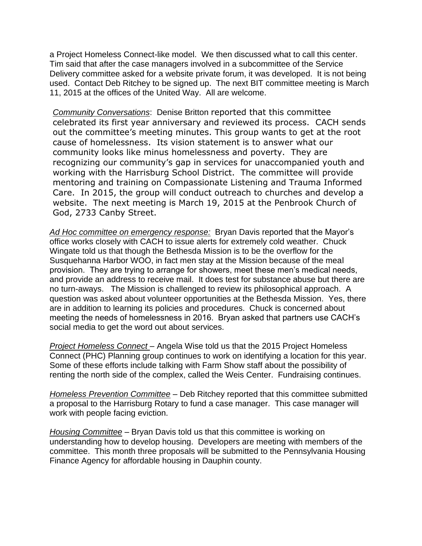a Project Homeless Connect-like model. We then discussed what to call this center. Tim said that after the case managers involved in a subcommittee of the Service Delivery committee asked for a website private forum, it was developed. It is not being used. Contact Deb Ritchey to be signed up. The next BIT committee meeting is March 11, 2015 at the offices of the United Way. All are welcome.

*Community Conversations*: Denise Britton reported that this committee celebrated its first year anniversary and reviewed its process. CACH sends out the committee's meeting minutes. This group wants to get at the root cause of homelessness. Its vision statement is to answer what our community looks like minus homelessness and poverty. They are recognizing our community's gap in services for unaccompanied youth and working with the Harrisburg School District. The committee will provide mentoring and training on Compassionate Listening and Trauma Informed Care. In 2015, the group will conduct outreach to churches and develop a website. The next meeting is March 19, 2015 at the Penbrook Church of God, 2733 Canby Street.

*Ad Hoc committee on emergency response:* Bryan Davis reported that the Mayor's office works closely with CACH to issue alerts for extremely cold weather. Chuck Wingate told us that though the Bethesda Mission is to be the overflow for the Susquehanna Harbor WOO, in fact men stay at the Mission because of the meal provision. They are trying to arrange for showers, meet these men's medical needs, and provide an address to receive mail. It does test for substance abuse but there are no turn-aways. The Mission is challenged to review its philosophical approach. A question was asked about volunteer opportunities at the Bethesda Mission. Yes, there are in addition to learning its policies and procedures. Chuck is concerned about meeting the needs of homelessness in 2016. Bryan asked that partners use CACH's social media to get the word out about services.

*Project Homeless Connect* – Angela Wise told us that the 2015 Project Homeless Connect (PHC) Planning group continues to work on identifying a location for this year. Some of these efforts include talking with Farm Show staff about the possibility of renting the north side of the complex, called the Weis Center. Fundraising continues.

*Homeless Prevention Committee* – Deb Ritchey reported that this committee submitted a proposal to the Harrisburg Rotary to fund a case manager. This case manager will work with people facing eviction.

*Housing Committee* – Bryan Davis told us that this committee is working on understanding how to develop housing. Developers are meeting with members of the committee. This month three proposals will be submitted to the Pennsylvania Housing Finance Agency for affordable housing in Dauphin county.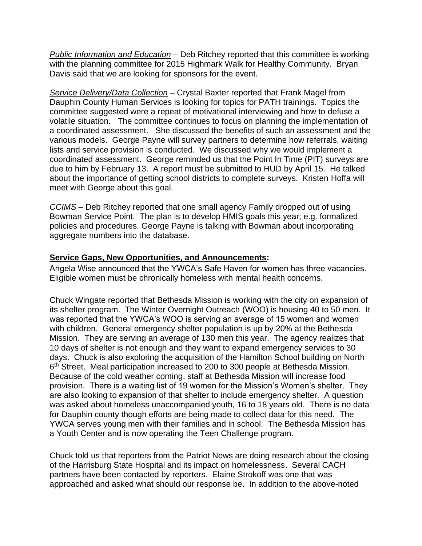*Public Information and Education* – Deb Ritchey reported that this committee is working with the planning committee for 2015 Highmark Walk for Healthy Community. Bryan Davis said that we are looking for sponsors for the event.

*Service Delivery/Data Collection* – Crystal Baxter reported that Frank Magel from Dauphin County Human Services is looking for topics for PATH trainings. Topics the committee suggested were a repeat of motivational interviewing and how to defuse a volatile situation. The committee continues to focus on planning the implementation of a coordinated assessment. She discussed the benefits of such an assessment and the various models. George Payne will survey partners to determine how referrals, waiting lists and service provision is conducted. We discussed why we would implement a coordinated assessment. George reminded us that the Point In Time (PIT) surveys are due to him by February 13. A report must be submitted to HUD by April 15. He talked about the importance of getting school districts to complete surveys. Kristen Hoffa will meet with George about this goal.

*CCIMS* – Deb Ritchey reported that one small agency Family dropped out of using Bowman Service Point. The plan is to develop HMIS goals this year; e.g. formalized policies and procedures. George Payne is talking with Bowman about incorporating aggregate numbers into the database.

## **Service Gaps, New Opportunities, and Announcements:**

Angela Wise announced that the YWCA's Safe Haven for women has three vacancies. Eligible women must be chronically homeless with mental health concerns.

Chuck Wingate reported that Bethesda Mission is working with the city on expansion of its shelter program. The Winter Overnight Outreach (WOO) is housing 40 to 50 men. It was reported that the YWCA's WOO is serving an average of 15 women and women with children. General emergency shelter population is up by 20% at the Bethesda Mission. They are serving an average of 130 men this year. The agency realizes that 10 days of shelter is not enough and they want to expand emergency services to 30 days. Chuck is also exploring the acquisition of the Hamilton School building on North 6<sup>th</sup> Street. Meal participation increased to 200 to 300 people at Bethesda Mission. Because of the cold weather coming, staff at Bethesda Mission will increase food provision. There is a waiting list of 19 women for the Mission's Women's shelter. They are also looking to expansion of that shelter to include emergency shelter. A question was asked about homeless unaccompanied youth, 16 to 18 years old. There is no data for Dauphin county though efforts are being made to collect data for this need. The YWCA serves young men with their families and in school. The Bethesda Mission has a Youth Center and is now operating the Teen Challenge program.

Chuck told us that reporters from the Patriot News are doing research about the closing of the Harrisburg State Hospital and its impact on homelessness. Several CACH partners have been contacted by reporters. Elaine Strokoff was one that was approached and asked what should our response be. In addition to the above-noted